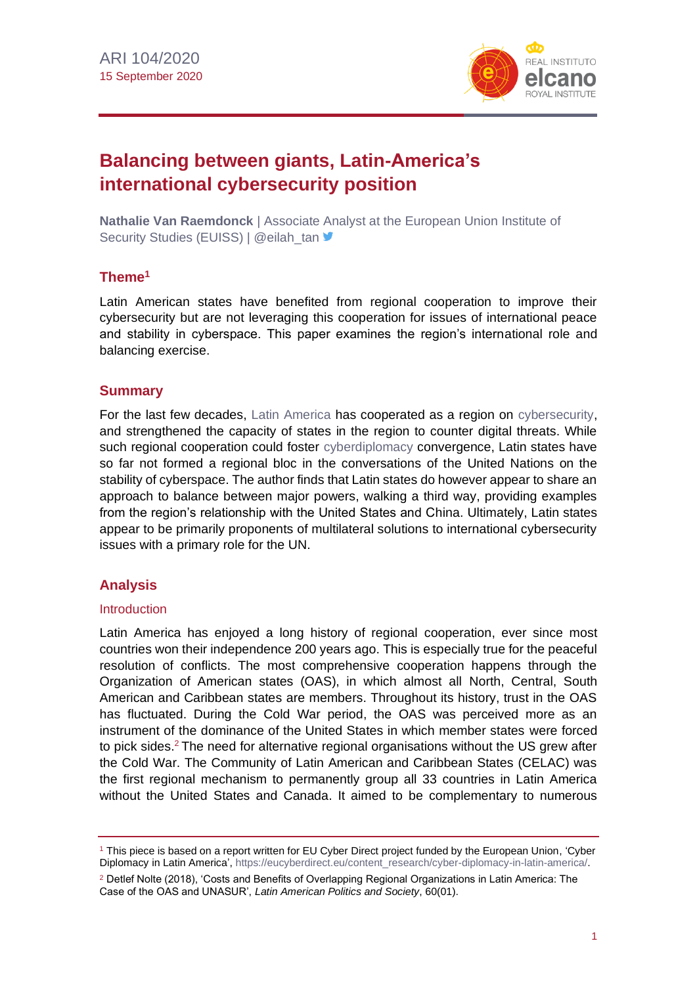

# **Balancing between giants, Latin-America's international cybersecurity position**

**Nathalie Van Raemdonck** | Associate Analyst at the European Union Institute of Security Studies (EUISS) | @eilah\_tan

## **Theme<sup>1</sup>**

Latin American states have benefited from regional cooperation to improve their cybersecurity but are not leveraging this cooperation for issues of international peace and stability in cyberspace. This paper examines the region's international role and balancing exercise.

## **Summary**

For the last few decades, [Latin America](http://www.realinstitutoelcano.org/wps/portal/rielcano_en/research-topics/latin-america) has cooperated as a region on [cybersecurity,](http://www.realinstitutoelcano.org/wps/portal/rielcano_en/research-topics/cybersecurity) and strengthened the capacity of states in the region to counter digital threats. While such regional cooperation could foster [cyberdiplomacy](http://www.realinstitutoelcano.org/wps/portal/rielcano_en/contenido?WCM_GLOBAL_CONTEXT=/elcano/elcano_in/zonas_in/ari98-2019-bjola-diplomacy-in-the-age-of-artificial-intelligence) convergence, Latin states have so far not formed a regional bloc in the conversations of the United Nations on the stability of cyberspace. The author finds that Latin states do however appear to share an approach to balance between major powers, walking a third way, providing examples from the region's relationship with the United States and China. Ultimately, Latin states appear to be primarily proponents of multilateral solutions to international cybersecurity issues with a primary role for the UN.

# **Analysis**

#### Introduction

Latin America has enjoyed a long history of regional cooperation, ever since most countries won their independence 200 years ago. This is especially true for the peaceful resolution of conflicts. The most comprehensive cooperation happens through the Organization of American states (OAS), in which almost all North, Central, South American and Caribbean states are members. Throughout its history, trust in the OAS has fluctuated. During the Cold War period, the OAS was perceived more as an instrument of the dominance of the United States in which member states were forced to pick sides. $2$  The need for alternative regional organisations without the US grew after the Cold War. The Community of Latin American and Caribbean States (CELAC) was the first regional mechanism to permanently group all 33 countries in Latin America without the United States and Canada. It aimed to be complementary to numerous

<sup>1</sup> This piece is based on a report written for EU Cyber Direct project funded by the European Union, 'Cyber Diplomacy in Latin America', [https://eucyberdirect.eu/content\\_research/cyber-diplomacy-in-latin-america/.](https://eucyberdirect.eu/content_research/cyber-diplomacy-in-latin-america/)

<sup>2</sup> Detlef Nolte (2018), 'Costs and Benefits of Overlapping Regional Organizations in Latin America: The Case of the OAS and UNASUR', *Latin American Politics and Society*, 60(01).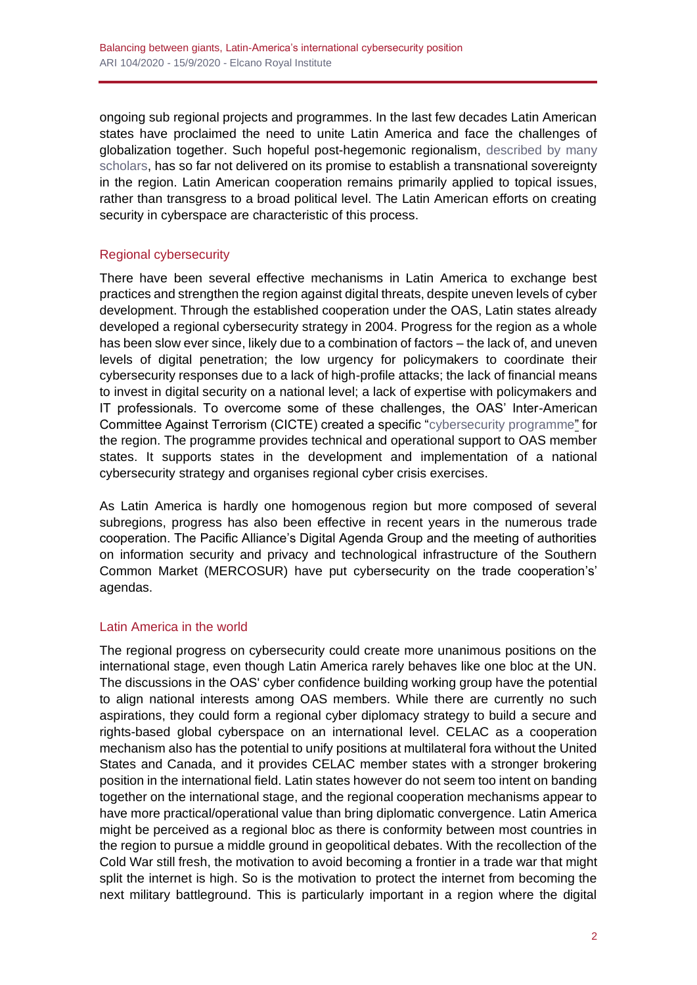ongoing sub regional projects and programmes. In the last few decades Latin American states have proclaimed the need to unite Latin America and face the challenges of globalization together. Such hopeful post-hegemonic regionalism, [described by many](https://www.scielo.br/scielo.php?script=sci_arttext&pid=S0102-85292013000200001)  [scholars,](https://www.scielo.br/scielo.php?script=sci_arttext&pid=S0102-85292013000200001) has so far not delivered on its promise to establish a transnational sovereignty in the region. Latin American cooperation remains primarily applied to topical issues, rather than transgress to a broad political level. The Latin American efforts on creating security in cyberspace are characteristic of this process.

# Regional cybersecurity

There have been several effective mechanisms in Latin America to exchange best practices and strengthen the region against digital threats, despite uneven levels of cyber development. Through the established cooperation under the OAS, Latin states already developed a regional cybersecurity strategy in 2004. Progress for the region as a whole has been slow ever since, likely due to a combination of factors – the lack of, and uneven levels of digital penetration; the low urgency for policymakers to coordinate their cybersecurity responses due to a lack of high-profile attacks; the lack of financial means to invest in digital security on a national level; a lack of expertise with policymakers and IT professionals. To overcome some of these challenges, the OAS' Inter-American Committee Against Terrorism (CICTE) created a specific ["cybersecurity programme"](https://www.sites.oas.org/cyber/en/pages/default.aspx) for the region. The programme provides technical and operational support to OAS member states. It supports states in the development and implementation of a national cybersecurity strategy and organises regional cyber crisis exercises.

As Latin America is hardly one homogenous region but more composed of several subregions, progress has also been effective in recent years in the numerous trade cooperation. The Pacific Alliance's Digital Agenda Group and the meeting of authorities on information security and privacy and technological infrastructure of the Southern Common Market (MERCOSUR) have put cybersecurity on the trade cooperation's' agendas.

# Latin America in the world

The regional progress on cybersecurity could create more unanimous positions on the international stage, even though Latin America rarely behaves like one bloc at the UN. The discussions in the OAS' cyber confidence building working group have the potential to align national interests among OAS members. While there are currently no such aspirations, they could form a regional cyber diplomacy strategy to build a secure and rights-based global cyberspace on an international level. CELAC as a cooperation mechanism also has the potential to unify positions at multilateral fora without the United States and Canada, and it provides CELAC member states with a stronger brokering position in the international field. Latin states however do not seem too intent on banding together on the international stage, and the regional cooperation mechanisms appear to have more practical/operational value than bring diplomatic convergence. Latin America might be perceived as a regional bloc as there is conformity between most countries in the region to pursue a middle ground in geopolitical debates. With the recollection of the Cold War still fresh, the motivation to avoid becoming a frontier in a trade war that might split the internet is high. So is the motivation to protect the internet from becoming the next military battleground. This is particularly important in a region where the digital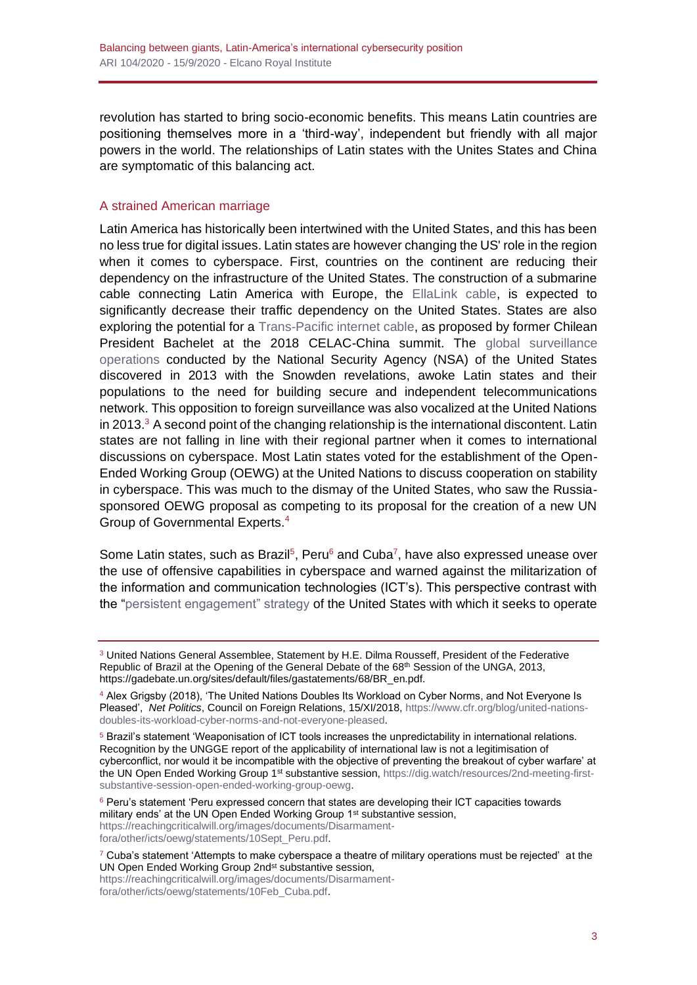revolution has started to bring socio-economic benefits. This means Latin countries are positioning themselves more in a 'third-way', independent but friendly with all major powers in the world. The relationships of Latin states with the Unites States and China are symptomatic of this balancing act.

#### A strained American marriage

Latin America has historically been intertwined with the United States, and this has been no less true for digital issues. Latin states are however changing the US' role in the region when it comes to cyberspace. First, countries on the continent are reducing their dependency on the infrastructure of the United States. The construction of a submarine cable connecting Latin America with Europe, the [EllaLink cable,](https://ec.europa.eu/digital-single-market/en/news/bella-new-digital-data-highway-between-europe-and-Latin%20America) is expected to significantly decrease their traffic dependency on the United States. States are also exploring the potential for a [Trans-Pacific internet cable,](https://chiletoday.cl/site/chile-to-build-first-fiber-optic-submarine-cable-between-south-america-and-asia/) as proposed by former Chilean President Bachelet at the 2018 CELAC-China summit. The [global surveillance](https://www.washingtonpost.com/world/the_americas/paper-reveals-nsa-ops-in-latin-america/2013/07/09/eff0cc7e-e8e3-11e2-818e-aa29e855f3ab_story.html)  [operations](https://www.washingtonpost.com/world/the_americas/paper-reveals-nsa-ops-in-latin-america/2013/07/09/eff0cc7e-e8e3-11e2-818e-aa29e855f3ab_story.html) conducted by the National Security Agency (NSA) of the United States discovered in 2013 with the Snowden revelations, awoke Latin states and their populations to the need for building secure and independent telecommunications network. This opposition to foreign surveillance was also vocalized at the United Nations in 2013. $3$  A second point of the changing relationship is the international discontent. Latin states are not falling in line with their regional partner when it comes to international discussions on cyberspace. Most Latin states voted for the establishment of the Open-Ended Working Group (OEWG) at the United Nations to discuss cooperation on stability in cyberspace. This was much to the dismay of the United States, who saw the Russiasponsored OEWG proposal as competing to its proposal for the creation of a new UN Group of Governmental Experts.<sup>4</sup>

Some Latin states, such as Brazil<sup>5</sup>, Peru<sup>6</sup> and Cuba<sup>7</sup>, have also expressed unease over the use of offensive capabilities in cyberspace and warned against the militarization of the information and communication technologies (ICT's). This perspective contrast with the ["persistent engagement" strategy](https://www.lawfareblog.com/persistent-engagement-foundation-evolution-and-evaluation-strategy) of the United States with which it seeks to operate

<sup>3</sup> United Nations General Assemblee, Statement by H.E. Dilma Rousseff, President of the Federative Republic of Brazil at the Opening of the General Debate of the 68th Session of the UNGA, 2013, [https://gadebate.un.org/sites/default/files/gastatements/68/BR\\_en.pdf.](https://gadebate.un.org/sites/default/files/gastatements/68/BR_en.pdf)

<sup>4</sup> Alex Grigsby (2018), 'The United Nations Doubles Its Workload on Cyber Norms, and Not Everyone Is Pleased', *Net Politics*, Council on Foreign Relations, 15/XI/2018, [https://www.cfr.org/blog/united-nations](https://www.cfr.org/blog/united-nations-doubles-its-workload-cyber-norms-and-not-everyone-pleased)[doubles-its-workload-cyber-norms-and-not-everyone-pleased.](https://www.cfr.org/blog/united-nations-doubles-its-workload-cyber-norms-and-not-everyone-pleased)

<sup>5</sup> Brazil's statement 'Weaponisation of ICT tools increases the unpredictability in international relations. Recognition by the UNGGE report of the applicability of international law is not a legitimisation of cyberconflict, nor would it be incompatible with the objective of preventing the breakout of cyber warfare' at the UN Open Ended Working Group 1st substantive session[, https://dig.watch/resources/2nd-meeting-first](https://dig.watch/resources/2nd-meeting-first-substantive-session-open-ended-working-group-oewg)[substantive-session-open-ended-working-group-oewg.](https://dig.watch/resources/2nd-meeting-first-substantive-session-open-ended-working-group-oewg)

<sup>&</sup>lt;sup>6</sup> Peru's statement 'Peru expressed concern that states are developing their ICT capacities towards military ends' at the UN Open Ended Working Group 1<sup>st</sup> substantive session, [https://reachingcriticalwill.org/images/documents/Disarmament](https://reachingcriticalwill.org/images/documents/Disarmament-fora/other/icts/oewg/statements/10Sept_Peru.pdf)[fora/other/icts/oewg/statements/10Sept\\_Peru.pdf.](https://reachingcriticalwill.org/images/documents/Disarmament-fora/other/icts/oewg/statements/10Sept_Peru.pdf)

 $7$  Cuba's statement 'Attempts to make cyberspace a theatre of military operations must be rejected' at the UN Open Ended Working Group 2nd<sup>st</sup> substantive session,

[https://reachingcriticalwill.org/images/documents/Disarmament](https://reachingcriticalwill.org/images/documents/Disarmament-fora/other/icts/oewg/statements/10Feb_Cuba.pdf)[fora/other/icts/oewg/statements/10Feb\\_Cuba.pdf.](https://reachingcriticalwill.org/images/documents/Disarmament-fora/other/icts/oewg/statements/10Feb_Cuba.pdf)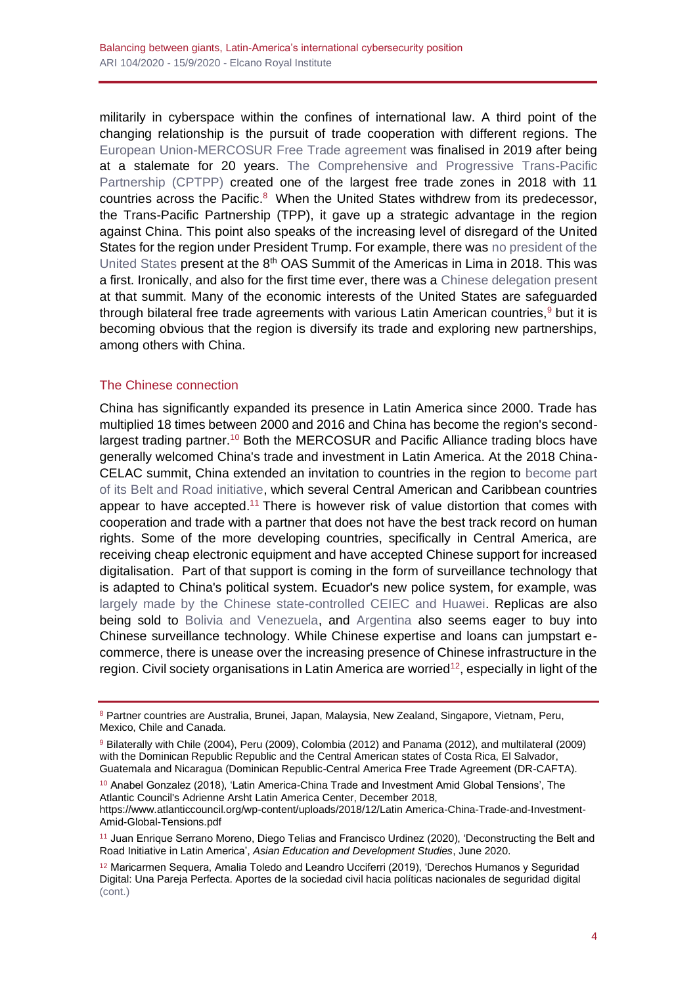militarily in cyberspace within the confines of international law. A third point of the changing relationship is the pursuit of trade cooperation with different regions. The [European Union-MERCOSUR Free Trade agreement](http://ec.europa.eu/trade/policy/in-focus/eu-mercosur-association-agreement/) was finalised in 2019 after being at a stalemate for 20 years. [The Comprehensive and Progressive Trans-Pacific](https://www.whitecase.com/publications/alert/cptpp-enters-force-what-does-it-mean-global-trade)  [Partnership \(CPTPP\)](https://www.whitecase.com/publications/alert/cptpp-enters-force-what-does-it-mean-global-trade) created one of the largest free trade zones in 2018 with 11 countries across the Pacific.<sup>8</sup> When the United States withdrew from its predecessor, the Trans-Pacific Partnership (TPP), it gave up a strategic advantage in the region against China. This point also speaks of the increasing level of disregard of the United States for the region under President Trump. For example, there was [no president of the](https://www.huffpost.com/entry/trump-cancels-peru-summit-plans_n_5accb86de4b07a3485e86adc)  [United States](https://www.huffpost.com/entry/trump-cancels-peru-summit-plans_n_5accb86de4b07a3485e86adc) present at the 8<sup>th</sup> OAS Summit of the Americas in Lima in 2018. This was a first. Ironically, and also for the first time ever, there was a [Chinese delegation present](http://www.china-embassy.org/eng/ggwjhd/t1567336.htm) at that summit. Many of the economic interests of the United States are safeguarded through bilateral free trade agreements with various Latin American countries,  $9$  but it is becoming obvious that the region is diversify its trade and exploring new partnerships, among others with China.

## The Chinese connection

China has significantly expanded its presence in Latin America since 2000. Trade has multiplied 18 times between 2000 and 2016 and China has become the region's secondlargest trading partner.<sup>10</sup> Both the MERCOSUR and Pacific Alliance trading blocs have generally welcomed China's trade and investment in Latin America. At the 2018 China-CELAC summit, China extended an invitation to countries in the region to [become part](https://thediplomat.com/2018/01/china-says-latin-america-eager-to-join-belt-and-road/)  [of its Belt and Road initiative,](https://thediplomat.com/2018/01/china-says-latin-america-eager-to-join-belt-and-road/) which several Central American and Caribbean countries appear to have accepted.<sup>11</sup> There is however risk of value distortion that comes with cooperation and trade with a partner that does not have the best track record on human rights. Some of the more developing countries, specifically in Central America, are receiving cheap electronic equipment and have accepted Chinese support for increased digitalisation. Part of that support is coming in the form of surveillance technology that is adapted to China's political system. Ecuador's new police system, for example, was [largely made by the Chinese state-controlled CEIEC and Huawei.](https://www.nytimes.com/2019/04/24/technology/ecuador-surveillance-cameras-police-government.html) Replicas are also being sold to [Bolivia and Venezuela,](https://www.nytimes.com/2019/04/24/technology/ecuador-surveillance-cameras-police-government.html) and [Argentina](https://www.reuters.com/article/us-argentina-china-zte-insight/safe-like-china-in-argentina-zte-finds-eager-buyer-for-surveillance-tech-idUSKCN1U00ZG) also seems eager to buy into Chinese surveillance technology. While Chinese expertise and loans can jumpstart ecommerce, there is unease over the increasing presence of Chinese infrastructure in the region. Civil society organisations in Latin America are worried<sup>12</sup>, especially in light of the

[https://www.atlanticcouncil.org/wp-content/uploads/2018/12/Latin America-China-Trade-and-Investment-](https://www.atlanticcouncil.org/wp-content/uploads/2018/12/Latin-America-China-Trade-and-Investment-Amid-Global-Tensions.pdf)[Amid-Global-Tensions.pdf](https://www.atlanticcouncil.org/wp-content/uploads/2018/12/Latin-America-China-Trade-and-Investment-Amid-Global-Tensions.pdf)

<sup>8</sup> Partner countries are Australia, Brunei, Japan, Malaysia, New Zealand, Singapore, Vietnam, Peru, Mexico, Chile and Canada.

<sup>9</sup> Bilaterally with Chile (2004), Peru (2009), Colombia (2012) and Panama (2012), and multilateral (2009) with the Dominican Republic Republic and the Central American states of Costa Rica, El Salvador, Guatemala and Nicaragua (Dominican Republic-Central America Free Trade Agreement (DR-CAFTA).

<sup>10</sup> Anabel Gonzalez (2018), 'Latin America-China Trade and Investment Amid Global Tensions', The Atlantic Council's Adrienne Arsht Latin America Center, December 2018,

<sup>11</sup> Juan Enrique Serrano Moreno, Diego Telias and Francisco Urdinez (2020), 'Deconstructing the Belt and Road Initiative in Latin America', *Asian Education and Development Studies*, June 2020.

<sup>12</sup> Maricarmen Sequera, Amalia Toledo and Leandro Ucciferri (2019), 'Derechos Humanos y Seguridad Digital: Una Pareja Perfecta. Aportes de la sociedad civil hacia políticas nacionales de seguridad digital (cont.)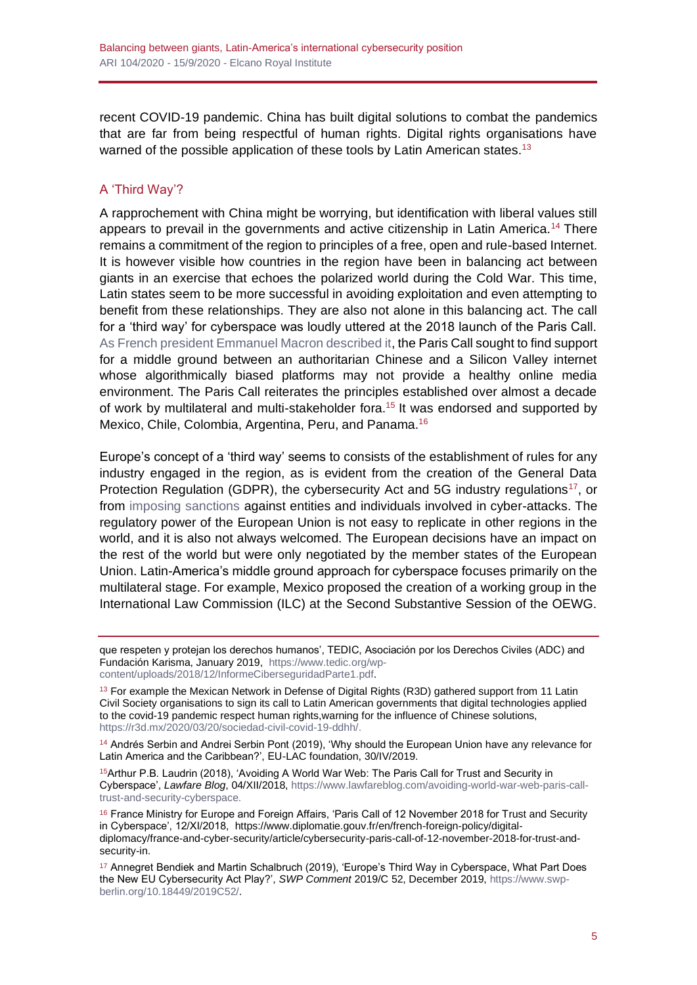recent COVID-19 pandemic. China has built digital solutions to combat the pandemics that are far from being respectful of human rights. Digital rights organisations have warned of the possible application of these tools by Latin American states.<sup>13</sup>

## A 'Third Way'?

A rapprochement with China might be worrying, but identification with liberal values still appears to prevail in the governments and active citizenship in Latin America.<sup>14</sup> There remains a commitment of the region to principles of a free, open and rule-based Internet. It is however visible how countries in the region have been in balancing act between giants in an exercise that echoes the polarized world during the Cold War. This time, Latin states seem to be more successful in avoiding exploitation and even attempting to benefit from these relationships. They are also not alone in this balancing act. The call for a 'third way' for cyberspace was loudly uttered at the 2018 launch of the Paris Call. [As French president Emmanuel Macron described it,](https://www.intgovforum.org/multilingual/content/igf-2018-speech-by-french-president-emmanuel-macron) the Paris Call sought to find support for a middle ground between an authoritarian Chinese and a Silicon Valley internet whose algorithmically biased platforms may not provide a healthy online media environment. The Paris Call reiterates the principles established over almost a decade of work by multilateral and multi-stakeholder fora.<sup>15</sup> It was endorsed and supported by Mexico, Chile, Colombia, Argentina, Peru, and Panama.<sup>16</sup>

Europe's concept of a 'third way' seems to consists of the establishment of rules for any industry engaged in the region, as is evident from the creation of the General Data Protection Regulation (GDPR), the cybersecurity Act and 5G industry regulations<sup>17</sup>, or from [imposing sanctions](https://www.consilium.europa.eu/en/press/press-releases/2020/07/30/eu-imposes-the-first-ever-sanctions-against-cyber-attacks/) against entities and individuals involved in cyber-attacks. The regulatory power of the European Union is not easy to replicate in other regions in the world, and it is also not always welcomed. The European decisions have an impact on the rest of the world but were only negotiated by the member states of the European Union. Latin-America's middle ground approach for cyberspace focuses primarily on the multilateral stage. For example, Mexico proposed the creation of a working group in the International Law Commission (ILC) at the Second Substantive Session of the OEWG.

que respeten y protejan los derechos humanos', TEDIC, Asociación por los Derechos Civiles (ADC) and Fundación Karisma, January 2019, [https://www.tedic.org/wp](https://www.tedic.org/wp-content/uploads/2018/12/InformeCiberseguridadParte1.pdf)[content/uploads/2018/12/InformeCiberseguridadParte1.pdf.](https://www.tedic.org/wp-content/uploads/2018/12/InformeCiberseguridadParte1.pdf)

<sup>13</sup> For example the Mexican Network in Defense of Digital Rights (R3D) gathered support from 11 Latin Civil Society organisations to sign its call to Latin American governments that digital technologies applied to the covid-19 pandemic respect human rights,warning for the influence of Chinese solutions, [https://r3d.mx/2020/03/20/sociedad-civil-covid-19-ddhh/.](https://r3d.mx/2020/03/20/sociedad-civil-covid-19-ddhh/)

<sup>14</sup> Andrés Serbin and Andrei Serbin Pont (2019), 'Why should the European Union have any relevance for Latin America and the Caribbean?', EU-LAC foundation, 30/IV/2019.

<sup>15</sup>Arthur P.B. Laudrin (2018), 'Avoiding A World War Web: The Paris Call for Trust and Security in Cyberspace', *Lawfare Blog*, 04/XII/2018[, https://www.lawfareblog.com/avoiding-world-war-web-paris-call](https://www.lawfareblog.com/avoiding-world-war-web-paris-call-trust-and-security-cyberspace)[trust-and-security-cyberspace.](https://www.lawfareblog.com/avoiding-world-war-web-paris-call-trust-and-security-cyberspace)

<sup>16</sup> France Ministry for Europe and Foreign Affairs, 'Paris Call of 12 November 2018 for Trust and Security in Cyberspace', 12/XI/2018, [https://www.diplomatie.gouv.fr/en/french-foreign-policy/digital](https://www.diplomatie.gouv.fr/en/french-foreign-policy/digital-diplomacy/france-and-cyber-security/article/cybersecurity-paris-call-of-12-november-2018-for-trust-and-security-in)[diplomacy/france-and-cyber-security/article/cybersecurity-paris-call-of-12-november-2018-for-trust-and](https://www.diplomatie.gouv.fr/en/french-foreign-policy/digital-diplomacy/france-and-cyber-security/article/cybersecurity-paris-call-of-12-november-2018-for-trust-and-security-in)[security-in.](https://www.diplomatie.gouv.fr/en/french-foreign-policy/digital-diplomacy/france-and-cyber-security/article/cybersecurity-paris-call-of-12-november-2018-for-trust-and-security-in)

<sup>17</sup> Annegret Bendiek and Martin Schalbruch (2019), 'Europe's Third Way in Cyberspace, What Part Does the New EU Cybersecurity Act Play?', *SWP Comment* 2019/C 52, December 2019, [https://www.swp](https://www.swp-berlin.org/10.18449/2019C52/)[berlin.org/10.18449/2019C52/.](https://www.swp-berlin.org/10.18449/2019C52/)